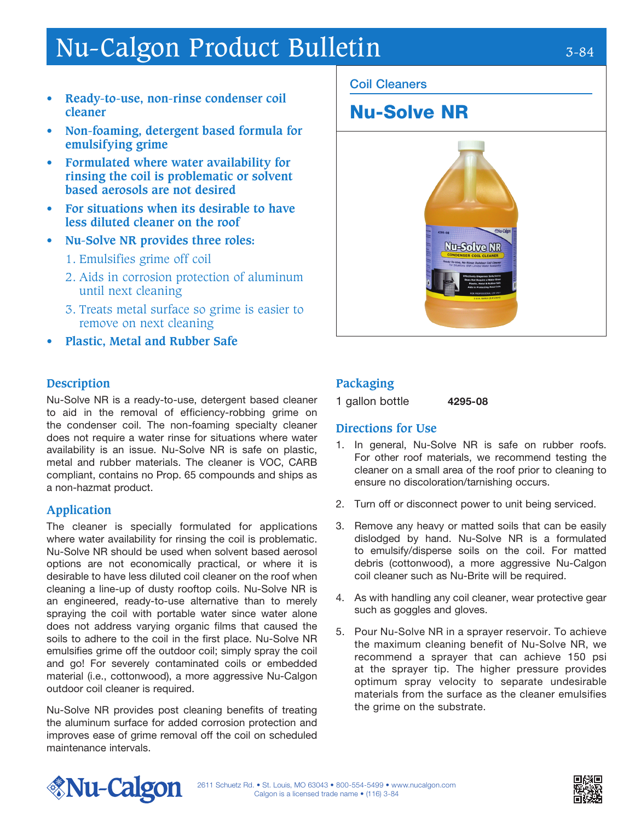# Nu-Calgon Product Bulletin 3-84

- **• Ready-to-use, non-rinse condenser coil cleaner**
- **• Non-foaming, detergent based formula for emulsifying grime**
- **• Formulated where water availability for rinsing the coil is problematic or solvent based aerosols are not desired**
- **• For situations when its desirable to have less diluted cleaner on the roof**
- **• Nu-Solve NR provides three roles:**
	- 1. Emulsifies grime off coil
	- 2. Aids in corrosion protection of aluminum until next cleaning
	- 3. Treats metal surface so grime is easier to remove on next cleaning
- **• Plastic, Metal and Rubber Safe**

### **Description**

Nu-Solve NR is a ready-to-use, detergent based cleaner to aid in the removal of efficiency-robbing grime on the condenser coil. The non-foaming specialty cleaner does not require a water rinse for situations where water availability is an issue. Nu-Solve NR is safe on plastic, metal and rubber materials. The cleaner is VOC, CARB compliant, contains no Prop. 65 compounds and ships as a non-hazmat product.

#### **Application**

The cleaner is specially formulated for applications where water availability for rinsing the coil is problematic. Nu-Solve NR should be used when solvent based aerosol options are not economically practical, or where it is desirable to have less diluted coil cleaner on the roof when cleaning a line-up of dusty rooftop coils. Nu-Solve NR is an engineered, ready-to-use alternative than to merely spraying the coil with portable water since water alone does not address varying organic films that caused the soils to adhere to the coil in the first place. Nu-Solve NR emulsifies grime off the outdoor coil; simply spray the coil and go! For severely contaminated coils or embedded material (i.e., cottonwood), a more aggressive Nu-Calgon outdoor coil cleaner is required.

Nu-Solve NR provides post cleaning benefits of treating the aluminum surface for added corrosion protection and improves ease of grime removal off the coil on scheduled maintenance intervals.

#### Coil Cleaners

# Nu-Solve NR



## **Packaging**

1 gallon bottle 4295-08

#### **Directions for Use**

- 1. In general, Nu-Solve NR is safe on rubber roofs. For other roof materials, we recommend testing the cleaner on a small area of the roof prior to cleaning to ensure no discoloration/tarnishing occurs.
- 2. Turn off or disconnect power to unit being serviced.
- 3. Remove any heavy or matted soils that can be easily dislodged by hand. Nu-Solve NR is a formulated to emulsify/disperse soils on the coil. For matted debris (cottonwood), a more aggressive Nu-Calgon coil cleaner such as Nu-Brite will be required.
- 4. As with handling any coil cleaner, wear protective gear such as goggles and gloves.
- 5. Pour Nu-Solve NR in a sprayer reservoir. To achieve the maximum cleaning benefit of Nu-Solve NR, we recommend a sprayer that can achieve 150 psi at the sprayer tip. The higher pressure provides optimum spray velocity to separate undesirable materials from the surface as the cleaner emulsifies the grime on the substrate.